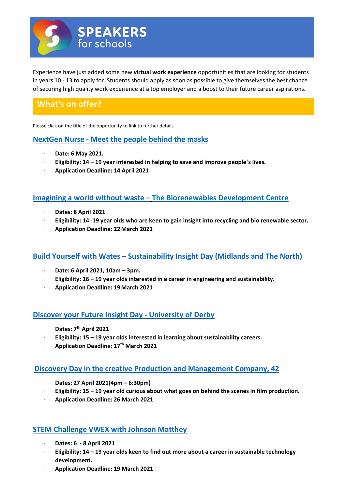

Experience have just added some new **virtual work experience** opportunities that are looking for students in years 10 - 13 to apply for. Students should apply as soon as possible to give themselves the best chance of securing high quality work experience at a top employer and a boost to their future career aspirations.

# **What's on offer?**

Please click on the title of the opportunity to link to further details

## **NextGen Nurse - [Meet the people behind the masks](https://www.s4snextgen.org/Opportunities/View/id/1319)**

- · **Date: 6 May 2021.**
- · **Eligibility: 14 – 19 year interested in helping to save and improve people`s lives.**
- · **Application Deadline: 14 April 2021**

## **[Imagining a world without waste](https://www.s4snextgen.org/Opportunities/View/id/1310) – The Biorenewables Development Centre**

- · **Dates: 8 April 2021**
- · **Eligibility: 14 -19 year olds who are keen to gain insight into recycling and bio renewable sector.**
- · **Application Deadline: 22March 2021**

## **Build Yourself with Wates – [Sustainability Insight Day \(Midlands and The North\)](https://www.s4snextgen.org/Opportunities/View/id/1226)**

- · **Date: 6 April 2021, 10am – 3pm.**
- · **Eligibility: 16 – 19 year olds interested in a career in engineering and sustainability.**
- · **Application Deadline: 19March 2021**

## **[Discover your Future Insight Day -](https://www.s4snextgen.org/Opportunities/View/id/1242) University of Derby**

- · **Dates: 7th April 2021**
- · **Eligibility: 15 – 19 year olds interested in learning about sustainability careers.**
- · **Application Deadline: 17th March 2021**

#### **[Discovery Day in the creative Production and Management Company, 42](https://www.s4snextgen.org/Opportunities/View/id/1331)**

- · **Dates: 27 April 2021(4pm – 6:30pm)**
- · **Eligibility: 15 – 19 year old curious about what goes on behind the scenes in film production.**
- · **Application Deadline: 26 March 2021**

## **[STEM Challenge VWEX with Johnson Matthey](https://www.s4snextgen.org/Opportunities/View/id/1260)**

- · **Dates: 6 - 8 April 2021**
- · **Eligibility: 14 – 19 year olds keen to find out more about a career in sustainable technology development.**
- · **Application Deadline: 19 March 2021**